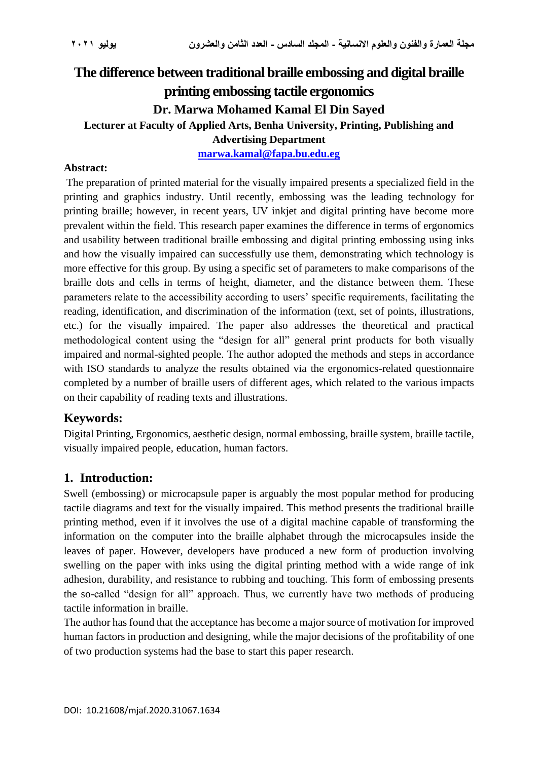# **The difference between traditional braille embossing and digital braille printing embossing tactile ergonomics Dr. Marwa Mohamed Kamal El Din Sayed Lecturer at Faculty of Applied Arts, Benha University, Printing, Publishing and Advertising Department**

**[marwa.kamal@fapa.bu.edu.eg](mailto:marwa.kamal@fapa.bu.edu.eg)**

#### **Abstract:**

The preparation of printed material for the visually impaired presents a specialized field in the printing and graphics industry. Until recently, embossing was the leading technology for printing braille; however, in recent years, UV inkjet and digital printing have become more prevalent within the field. This research paper examines the difference in terms of ergonomics and usability between traditional braille embossing and digital printing embossing using inks and how the visually impaired can successfully use them, demonstrating which technology is more effective for this group. By using a specific set of parameters to make comparisons of the braille dots and cells in terms of height, diameter, and the distance between them. These parameters relate to the accessibility according to users' specific requirements, facilitating the reading, identification, and discrimination of the information (text, set of points, illustrations, etc.) for the visually impaired. The paper also addresses the theoretical and practical methodological content using the "design for all" general print products for both visually impaired and normal-sighted people. The author adopted the methods and steps in accordance with ISO standards to analyze the results obtained via the ergonomics-related questionnaire completed by a number of braille users of different ages, which related to the various impacts on their capability of reading texts and illustrations.

## **Keywords:**

Digital Printing, Ergonomics, aesthetic design, normal embossing, braille system, braille tactile, visually impaired people, education, human factors.

## **1. Introduction:**

Swell (embossing) or microcapsule paper is arguably the most popular method for producing tactile diagrams and text for the visually impaired. This method presents the traditional braille printing method, even if it involves the use of a digital machine capable of transforming the information on the computer into the braille alphabet through the microcapsules inside the leaves of paper. However, developers have produced a new form of production involving swelling on the paper with inks using the digital printing method with a wide range of ink adhesion, durability, and resistance to rubbing and touching. This form of embossing presents the so-called "design for all" approach. Thus, we currently have two methods of producing tactile information in braille.

The author has found that the acceptance has become a major source of motivation for improved human factors in production and designing, while the major decisions of the profitability of one of two production systems had the base to start this paper research.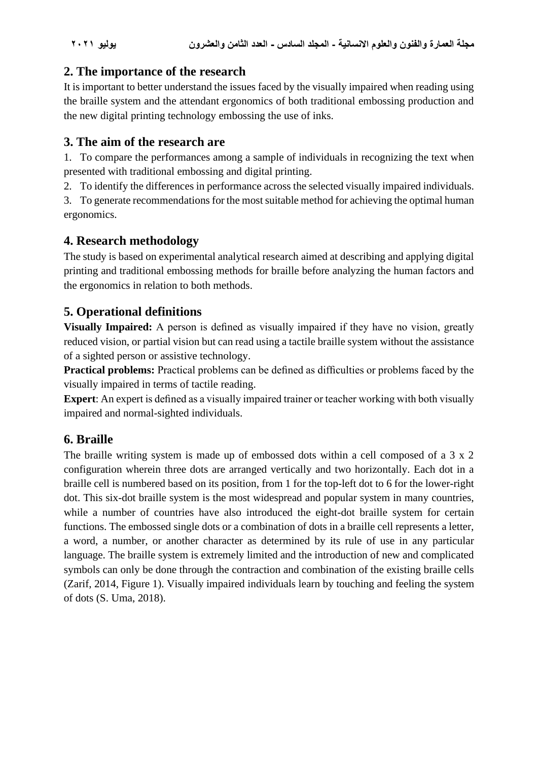## **2. The importance of the research**

It is important to better understand the issues faced by the visually impaired when reading using the braille system and the attendant ergonomics of both traditional embossing production and the new digital printing technology embossing the use of inks.

## **3. The aim of the research are**

1. To compare the performances among a sample of individuals in recognizing the text when presented with traditional embossing and digital printing.

2. To identify the differences in performance across the selected visually impaired individuals.

3. To generate recommendations for the most suitable method for achieving the optimal human ergonomics.

## **4. Research methodology**

The study is based on experimental analytical research aimed at describing and applying digital printing and traditional embossing methods for braille before analyzing the human factors and the ergonomics in relation to both methods.

## **5. Operational definitions**

**Visually Impaired:** A person is defined as visually impaired if they have no vision, greatly reduced vision, or partial vision but can read using a tactile braille system without the assistance of a sighted person or assistive technology.

**Practical problems:** Practical problems can be defined as difficulties or problems faced by the visually impaired in terms of tactile reading.

**Expert**: An expert is defined as a visually impaired trainer or teacher working with both visually impaired and normal-sighted individuals.

## **6. Braille**

The braille writing system is made up of embossed dots within a cell composed of a 3 x 2 configuration wherein three dots are arranged vertically and two horizontally. Each dot in a braille cell is numbered based on its position, from 1 for the top-left dot to 6 for the lower-right dot. This six-dot braille system is the most widespread and popular system in many countries, while a number of countries have also introduced the eight-dot braille system for certain functions. The embossed single dots or a combination of dots in a braille cell represents a letter, a word, a number, or another character as determined by its rule of use in any particular language. The braille system is extremely limited and the introduction of new and complicated symbols can only be done through the contraction and combination of the existing braille cells (Zarif, 2014, Figure 1). Visually impaired individuals learn by touching and feeling the system of dots (S. Uma, 2018).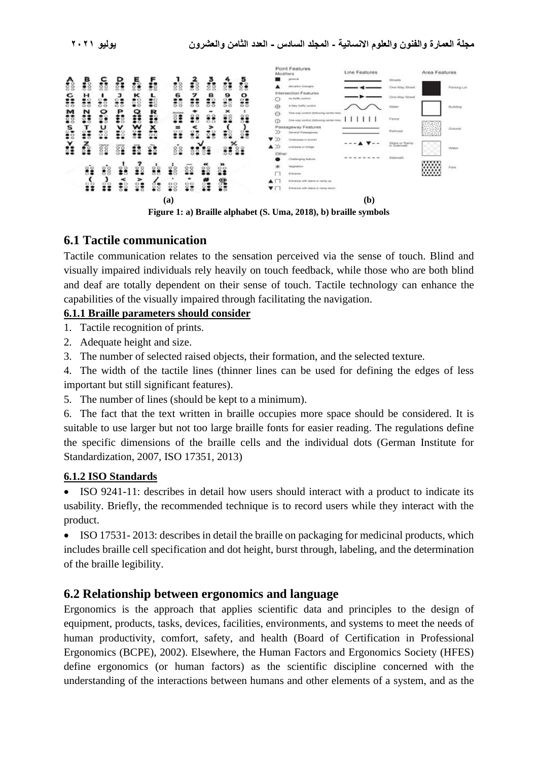

## **6.1 Tactile communication**

Tactile communication relates to the sensation perceived via the sense of touch. Blind and visually impaired individuals rely heavily on touch feedback, while those who are both blind and deaf are totally dependent on their sense of touch. Tactile technology can enhance the capabilities of the visually impaired through facilitating the navigation.

### **6.1.1 Braille parameters should consider**

1. Tactile recognition of prints.

- 2. Adequate height and size.
- 3. The number of selected raised objects, their formation, and the selected texture.

4. The width of the tactile lines (thinner lines can be used for defining the edges of less important but still significant features).

5. The number of lines (should be kept to a minimum).

6. The fact that the text written in braille occupies more space should be considered. It is suitable to use larger but not too large braille fonts for easier reading. The regulations define the specific dimensions of the braille cells and the individual dots (German Institute for Standardization, 2007, ISO 17351, 2013)

### **6.1.2 ISO Standards**

• ISO 9241-11: describes in detail how users should interact with a product to indicate its usability. Briefly, the recommended technique is to record users while they interact with the product.

• ISO 17531-2013: describes in detail the braille on packaging for medicinal products, which includes braille cell specification and dot height, burst through, labeling, and the determination of the braille legibility.

## **6.2 Relationship between ergonomics and language**

Ergonomics is the approach that applies scientific data and principles to the design of equipment, products, tasks, devices, facilities, environments, and systems to meet the needs of human productivity, comfort, safety, and health (Board of Certification in Professional Ergonomics (BCPE), 2002). Elsewhere, the Human Factors and Ergonomics Society (HFES) define ergonomics (or human factors) as the scientific discipline concerned with the understanding of the interactions between humans and other elements of a system, and as the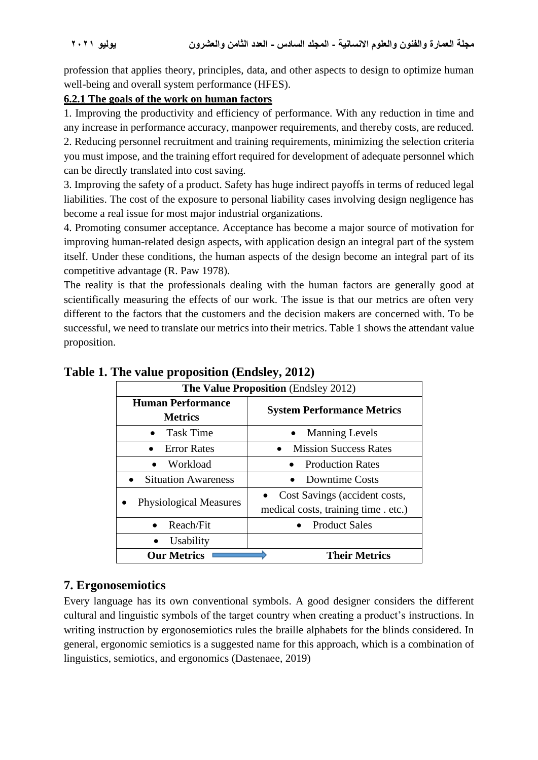profession that applies theory, principles, data, and other aspects to design to optimize human well-being and overall system performance (HFES).

### **6.2.1 The goals of the work on human factors**

1. Improving the productivity and efficiency of performance. With any reduction in time and any increase in performance accuracy, manpower requirements, and thereby costs, are reduced. 2. Reducing personnel recruitment and training requirements, minimizing the selection criteria you must impose, and the training effort required for development of adequate personnel which can be directly translated into cost saving.

3. Improving the safety of a product. Safety has huge indirect payoffs in terms of reduced legal liabilities. The cost of the exposure to personal liability cases involving design negligence has become a real issue for most major industrial organizations.

4. Promoting consumer acceptance. Acceptance has become a major source of motivation for improving human-related design aspects, with application design an integral part of the system itself. Under these conditions, the human aspects of the design become an integral part of its competitive advantage (R. Paw 1978).

The reality is that the professionals dealing with the human factors are generally good at scientifically measuring the effects of our work. The issue is that our metrics are often very different to the factors that the customers and the decision makers are concerned with. To be successful, we need to translate our metrics into their metrics. Table 1 shows the attendant value proposition.

| The Value Proposition (Endsley 2012)       |                                                                       |
|--------------------------------------------|-----------------------------------------------------------------------|
| <b>Human Performance</b><br><b>Metrics</b> | <b>System Performance Metrics</b>                                     |
| <b>Task Time</b>                           | <b>Manning Levels</b>                                                 |
| <b>Error Rates</b>                         | <b>Mission Success Rates</b>                                          |
| Workload<br>$\bullet$                      | <b>Production Rates</b>                                               |
| <b>Situation Awareness</b>                 | <b>Downtime Costs</b>                                                 |
| <b>Physiological Measures</b>              | Cost Savings (accident costs,<br>medical costs, training time . etc.) |
| Reach/Fit                                  | <b>Product Sales</b>                                                  |
| Usability                                  |                                                                       |
| <b>Our Metrics</b>                         | <b>Their Metrics</b>                                                  |

**Table 1. The value proposition (Endsley, 2012)**

## **7. Ergonosemiotics**

Every language has its own conventional symbols. A good designer considers the different cultural and linguistic symbols of the target country when creating a product's instructions. In writing instruction by ergonosemiotics rules the braille alphabets for the blinds considered. In general, ergonomic semiotics is a suggested name for this approach, which is a combination of linguistics, semiotics, and ergonomics (Dastenaee, 2019)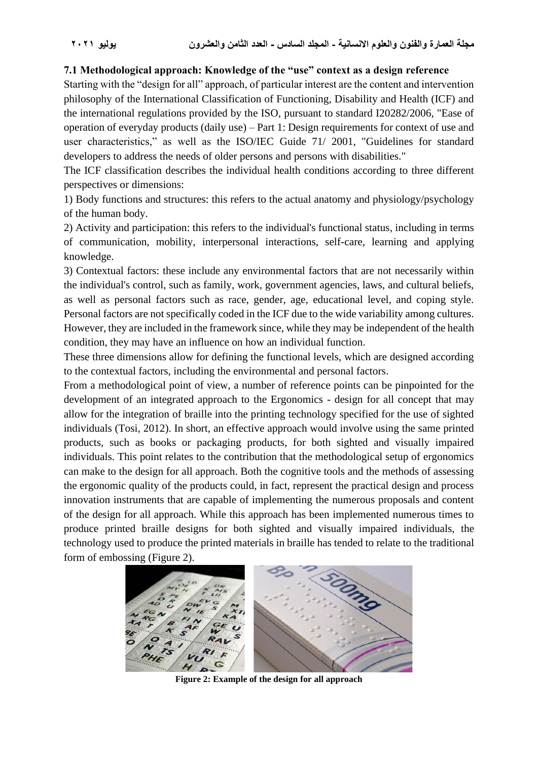#### **7.1 Methodological approach: Knowledge of the "use" context as a design reference**

Starting with the "design for all" approach, of particular interest are the content and intervention philosophy of the International Classification of Functioning, Disability and Health (ICF) and the international regulations provided by the ISO, pursuant to standard I20282/2006, "Ease of operation of everyday products (daily use) – Part 1: Design requirements for context of use and user characteristics," as well as the ISO/IEC Guide 71/ 2001, "Guidelines for standard developers to address the needs of older persons and persons with disabilities."

The ICF classification describes the individual health conditions according to three different perspectives or dimensions:

1) Body functions and structures: this refers to the actual anatomy and physiology/psychology of the human body.

2) Activity and participation: this refers to the individual's functional status, including in terms of communication, mobility, interpersonal interactions, self-care, learning and applying knowledge.

3) Contextual factors: these include any environmental factors that are not necessarily within the individual's control, such as family, work, government agencies, laws, and cultural beliefs, as well as personal factors such as race, gender, age, educational level, and coping style. Personal factors are not specifically coded in the ICF due to the wide variability among cultures. However, they are included in the framework since, while they may be independent of the health condition, they may have an influence on how an individual function.

These three dimensions allow for defining the functional levels, which are designed according to the contextual factors, including the environmental and personal factors.

From a methodological point of view, a number of reference points can be pinpointed for the development of an integrated approach to the Ergonomics - design for all concept that may allow for the integration of braille into the printing technology specified for the use of sighted individuals (Tosi, 2012). In short, an effective approach would involve using the same printed products, such as books or packaging products, for both sighted and visually impaired individuals. This point relates to the contribution that the methodological setup of ergonomics can make to the design for all approach. Both the cognitive tools and the methods of assessing the ergonomic quality of the products could, in fact, represent the practical design and process innovation instruments that are capable of implementing the numerous proposals and content of the design for all approach. While this approach has been implemented numerous times to produce printed braille designs for both sighted and visually impaired individuals, the technology used to produce the printed materials in braille has tended to relate to the traditional form of embossing (Figure 2).



**Figure 2: Example of the design for all approach**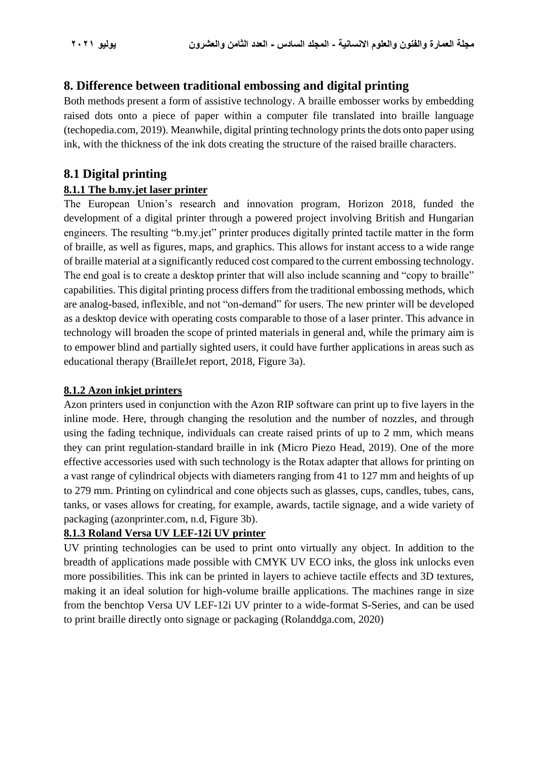## **8. Difference between traditional embossing and digital printing**

Both methods present a form of assistive technology. A braille embosser works by embedding raised dots onto a piece of paper within a computer file translated into braille language (techopedia.com, 2019). Meanwhile, digital printing technology prints the dots onto paper using ink, with the thickness of the ink dots creating the structure of the raised braille characters.

## **8.1 Digital printing**

### **8.1.1 The b.my.jet laser printer**

The European Union's research and innovation program, Horizon 2018, funded the development of a digital printer through a powered project involving British and Hungarian engineers. The resulting "b.my.jet" printer produces digitally printed tactile matter in the form of braille, as well as figures, maps, and graphics. This allows for instant access to a wide range of braille material at a significantly reduced cost compared to the current embossing technology. The end goal is to create a desktop printer that will also include scanning and "copy to braille" capabilities. This digital printing process differs from the traditional embossing methods, which are analog-based, inflexible, and not "on-demand" for users. The new printer will be developed as a desktop device with operating costs comparable to those of a laser printer. This advance in technology will broaden the scope of printed materials in general and, while the primary aim is to empower blind and partially sighted users, it could have further applications in areas such as educational therapy (BrailleJet report, 2018, Figure 3a).

### **8.1.2 Azon inkjet printers**

Azon printers used in conjunction with the Azon RIP software can print up to five layers in the inline mode. Here, through changing the resolution and the number of nozzles, and through using the fading technique, individuals can create raised prints of up to 2 mm, which means they can print regulation-standard braille in ink (Micro Piezo Head, 2019). One of the more effective accessories used with such technology is the Rotax adapter that allows for printing on a vast range of cylindrical objects with diameters ranging from 41 to 127 mm and heights of up to 279 mm. Printing on cylindrical and cone objects such as glasses, cups, candles, tubes, cans, tanks, or vases allows for creating, for example, awards, tactile signage, and a wide variety of packaging (azonprinter.com, n.d, Figure 3b).

#### **8.1.3 Roland Versa UV LEF-12i UV printer**

UV printing technologies can be used to print onto virtually any object. In addition to the breadth of applications made possible with CMYK UV ECO inks, the gloss ink unlocks even more possibilities. This ink can be printed in layers to achieve tactile effects and 3D textures, making it an ideal solution for high-volume braille applications. The machines range in size from the benchtop Versa UV LEF-12i UV printer to a wide-format S-Series, and can be used to print braille directly onto signage or packaging (Rolanddga.com, 2020)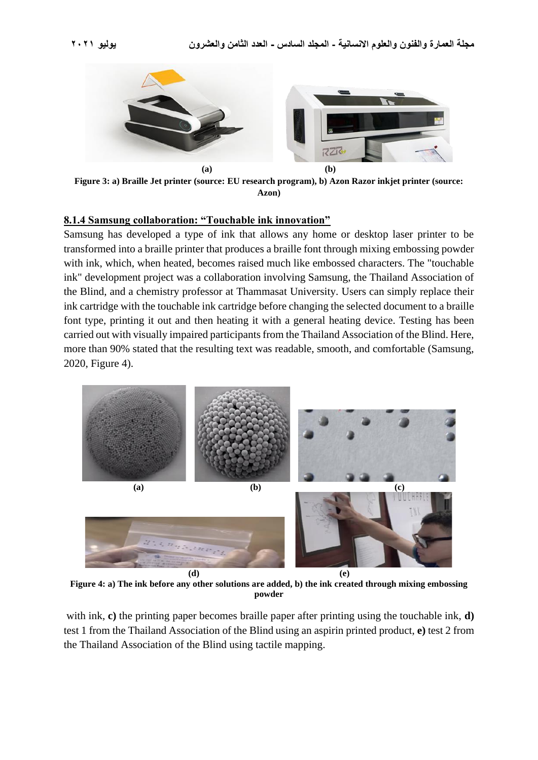

**Figure 3: a) Braille Jet printer (source: EU research program), b) Azon Razor inkjet printer (source: Azon)**

#### **8.1.4 Samsung collaboration: "Touchable ink innovation"**

Samsung has developed a type of ink that allows any home or desktop laser printer to be transformed into a braille printer that produces a braille font through mixing embossing powder with ink, which, when heated, becomes raised much like embossed characters. The "touchable ink" development project was a collaboration involving Samsung, the Thailand Association of the Blind, and a chemistry professor at Thammasat University. Users can simply replace their ink cartridge with the touchable ink cartridge before changing the selected document to a braille font type, printing it out and then heating it with a general heating device. Testing has been carried out with visually impaired participants from the Thailand Association of the Blind. Here, more than 90% stated that the resulting text was readable, smooth, and comfortable (Samsung, 2020, Figure 4).



**Figure 4: a) The ink before any other solutions are added, b) the ink created through mixing embossing powder**

with ink, **c)** the printing paper becomes braille paper after printing using the touchable ink, **d)** test 1 from the Thailand Association of the Blind using an aspirin printed product, **e)** test 2 from the Thailand Association of the Blind using tactile mapping.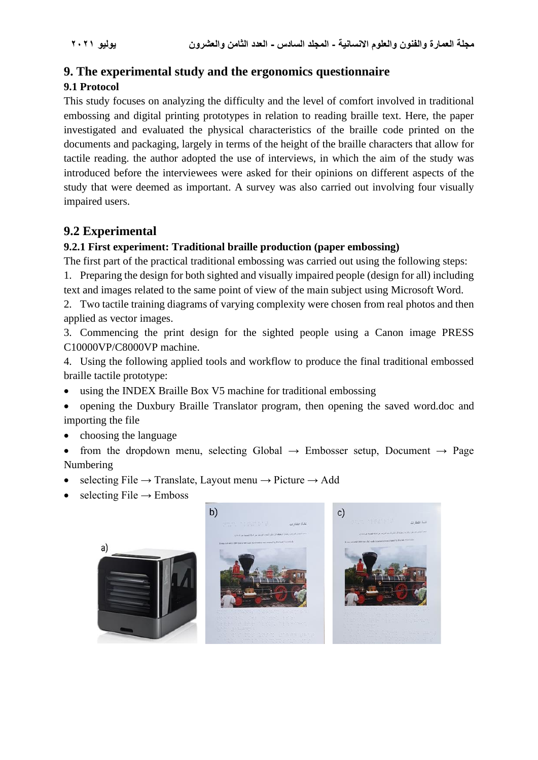## **9. The experimental study and the ergonomics questionnaire**

## **9.1 Protocol**

This study focuses on analyzing the difficulty and the level of comfort involved in traditional embossing and digital printing prototypes in relation to reading braille text. Here, the paper investigated and evaluated the physical characteristics of the braille code printed on the documents and packaging, largely in terms of the height of the braille characters that allow for tactile reading. the author adopted the use of interviews, in which the aim of the study was introduced before the interviewees were asked for their opinions on different aspects of the study that were deemed as important. A survey was also carried out involving four visually impaired users.

## **9.2 Experimental**

### **9.2.1 First experiment: Traditional braille production (paper embossing)**

The first part of the practical traditional embossing was carried out using the following steps:

1. Preparing the design for both sighted and visually impaired people (design for all) including text and images related to the same point of view of the main subject using Microsoft Word.

2. Two tactile training diagrams of varying complexity were chosen from real photos and then applied as vector images.

3. Commencing the print design for the sighted people using a Canon image PRESS C10000VP/C8000VP machine.

4. Using the following applied tools and workflow to produce the final traditional embossed braille tactile prototype:

- using the INDEX Braille Box V5 machine for traditional embossing
- opening the Duxbury Braille Translator program, then opening the saved word.doc and importing the file
- choosing the language
- from the dropdown menu, selecting Global  $\rightarrow$  Embosser setup, Document  $\rightarrow$  Page Numbering
- selecting File  $\rightarrow$  Translate, Layout menu  $\rightarrow$  Picture  $\rightarrow$  Add
- selecting File  $\rightarrow$  Emboss

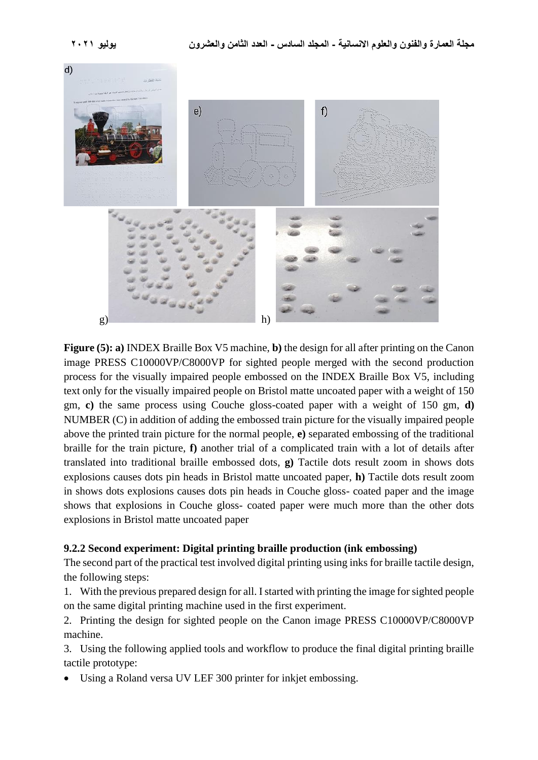

**Figure (5): a)** INDEX Braille Box V5 machine, **b)** the design for all after printing on the Canon image PRESS C10000VP/C8000VP for sighted people merged with the second production process for the visually impaired people embossed on the INDEX Braille Box V5, including text only for the visually impaired people on Bristol matte uncoated paper with a weight of 150 gm, **c)** the same process using Couche gloss-coated paper with a weight of 150 gm, **d)** NUMBER (C) in addition of adding the embossed train picture for the visually impaired people above the printed train picture for the normal people, **e)** separated embossing of the traditional braille for the train picture, **f)** another trial of a complicated train with a lot of details after translated into traditional braille embossed dots, **g)** Tactile dots result zoom in shows dots explosions causes dots pin heads in Bristol matte uncoated paper, **h)** Tactile dots result zoom in shows dots explosions causes dots pin heads in Couche gloss- coated paper and the image shows that explosions in Couche gloss- coated paper were much more than the other dots explosions in Bristol matte uncoated paper

#### **9.2.2 Second experiment: Digital printing braille production (ink embossing)**

The second part of the practical test involved digital printing using inks for braille tactile design, the following steps:

1. With the previous prepared design for all. I started with printing the image for sighted people on the same digital printing machine used in the first experiment.

2. Printing the design for sighted people on the Canon image PRESS C10000VP/C8000VP machine.

3. Using the following applied tools and workflow to produce the final digital printing braille tactile prototype:

Using a Roland versa UV LEF 300 printer for inkjet embossing.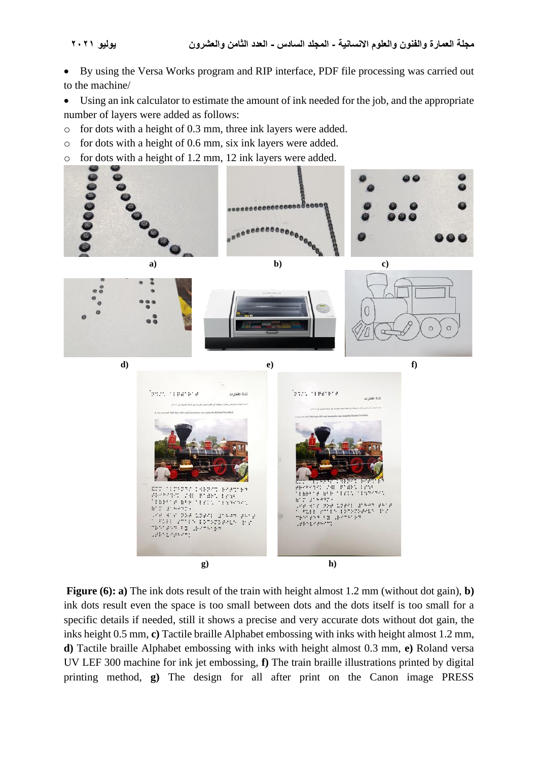• By using the Versa Works program and RIP interface, PDF file processing was carried out to the machine/

• Using an ink calculator to estimate the amount of ink needed for the job, and the appropriate number of layers were added as follows:

o for dots with a height of 0.3 mm, three ink layers were added.

o for dots with a height of 0.6 mm, six ink layers were added.

o for dots with a height of 1.2 mm, 12 ink layers were added.



**Figure (6): a)** The ink dots result of the train with height almost 1.2 mm (without dot gain), **b)** ink dots result even the space is too small between dots and the dots itself is too small for a specific details if needed, still it shows a precise and very accurate dots without dot gain, the inks height 0.5 mm, **c)** Tactile braille Alphabet embossing with inks with height almost 1.2 mm, **d)** Tactile braille Alphabet embossing with inks with height almost 0.3 mm, **e)** Roland versa UV LEF 300 machine for ink jet embossing, **f)** The train braille illustrations printed by digital printing method, **g)** The design for all after print on the Canon image PRESS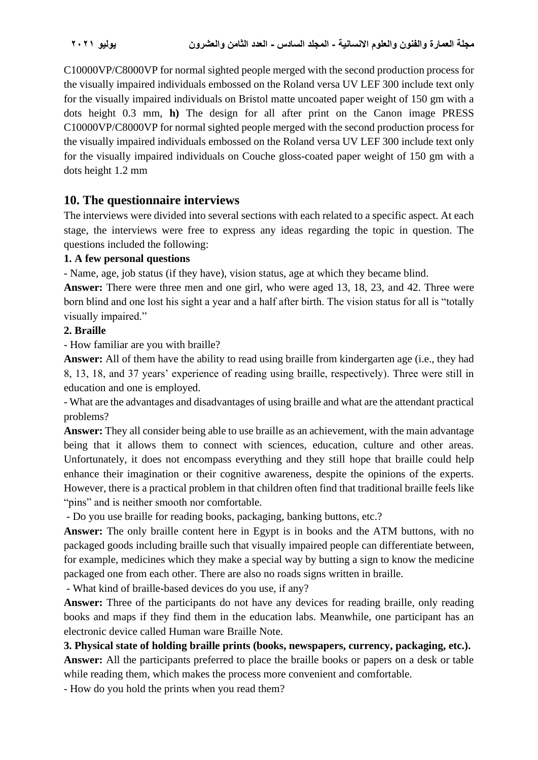C10000VP/C8000VP for normal sighted people merged with the second production process for the visually impaired individuals embossed on the Roland versa UV LEF 300 include text only for the visually impaired individuals on Bristol matte uncoated paper weight of 150 gm with a dots height 0.3 mm, **h)** The design for all after print on the Canon image PRESS C10000VP/C8000VP for normal sighted people merged with the second production process for the visually impaired individuals embossed on the Roland versa UV LEF 300 include text only for the visually impaired individuals on Couche gloss-coated paper weight of 150 gm with a dots height 1.2 mm

## **10. The questionnaire interviews**

The interviews were divided into several sections with each related to a specific aspect. At each stage, the interviews were free to express any ideas regarding the topic in question. The questions included the following:

#### **1. A few personal questions**

- Name, age, job status (if they have), vision status, age at which they became blind.

**Answer:** There were three men and one girl, who were aged 13, 18, 23, and 42. Three were born blind and one lost his sight a year and a half after birth. The vision status for all is "totally visually impaired."

#### **2. Braille**

- How familiar are you with braille?

**Answer:** All of them have the ability to read using braille from kindergarten age (i.e., they had 8, 13, 18, and 37 years' experience of reading using braille, respectively). Three were still in education and one is employed.

- What are the advantages and disadvantages of using braille and what are the attendant practical problems?

**Answer:** They all consider being able to use braille as an achievement, with the main advantage being that it allows them to connect with sciences, education, culture and other areas. Unfortunately, it does not encompass everything and they still hope that braille could help enhance their imagination or their cognitive awareness, despite the opinions of the experts. However, there is a practical problem in that children often find that traditional braille feels like "pins" and is neither smooth nor comfortable.

- Do you use braille for reading books, packaging, banking buttons, etc.?

**Answer:** The only braille content here in Egypt is in books and the ATM buttons, with no packaged goods including braille such that visually impaired people can differentiate between, for example, medicines which they make a special way by butting a sign to know the medicine packaged one from each other. There are also no roads signs written in braille.

- What kind of braille-based devices do you use, if any?

**Answer:** Three of the participants do not have any devices for reading braille, only reading books and maps if they find them in the education labs. Meanwhile, one participant has an electronic device called Human ware Braille Note.

#### **3. Physical state of holding braille prints (books, newspapers, currency, packaging, etc.).**

**Answer:** All the participants preferred to place the braille books or papers on a desk or table while reading them, which makes the process more convenient and comfortable.

- How do you hold the prints when you read them?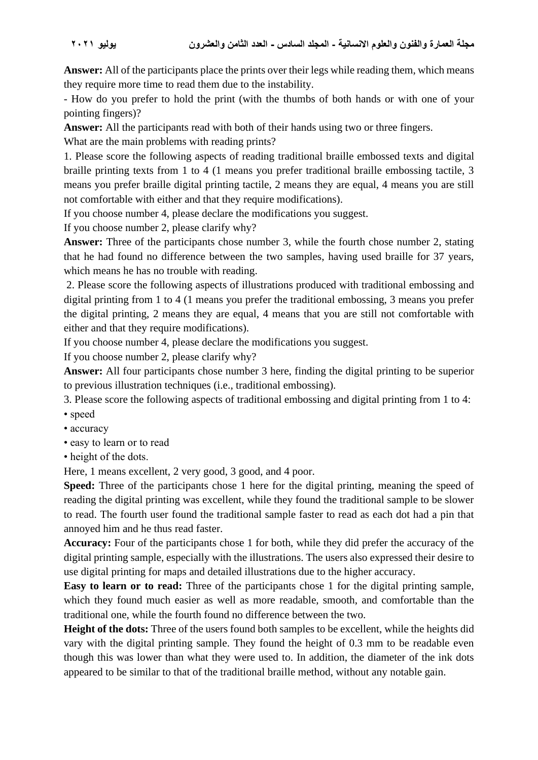**Answer:** All of the participants place the prints over their legs while reading them, which means they require more time to read them due to the instability.

- How do you prefer to hold the print (with the thumbs of both hands or with one of your pointing fingers)?

**Answer:** All the participants read with both of their hands using two or three fingers.

What are the main problems with reading prints?

1. Please score the following aspects of reading traditional braille embossed texts and digital braille printing texts from 1 to 4 (1 means you prefer traditional braille embossing tactile, 3 means you prefer braille digital printing tactile, 2 means they are equal, 4 means you are still not comfortable with either and that they require modifications).

If you choose number 4, please declare the modifications you suggest.

If you choose number 2, please clarify why?

**Answer:** Three of the participants chose number 3, while the fourth chose number 2, stating that he had found no difference between the two samples, having used braille for 37 years, which means he has no trouble with reading.

2. Please score the following aspects of illustrations produced with traditional embossing and digital printing from 1 to 4 (1 means you prefer the traditional embossing, 3 means you prefer the digital printing, 2 means they are equal, 4 means that you are still not comfortable with either and that they require modifications).

If you choose number 4, please declare the modifications you suggest.

If you choose number 2, please clarify why?

**Answer:** All four participants chose number 3 here, finding the digital printing to be superior to previous illustration techniques (i.e., traditional embossing).

3. Please score the following aspects of traditional embossing and digital printing from 1 to 4:

- speed
- accuracy
- easy to learn or to read
- height of the dots.

Here, 1 means excellent, 2 very good, 3 good, and 4 poor.

**Speed:** Three of the participants chose 1 here for the digital printing, meaning the speed of reading the digital printing was excellent, while they found the traditional sample to be slower to read. The fourth user found the traditional sample faster to read as each dot had a pin that annoyed him and he thus read faster.

**Accuracy:** Four of the participants chose 1 for both, while they did prefer the accuracy of the digital printing sample, especially with the illustrations. The users also expressed their desire to use digital printing for maps and detailed illustrations due to the higher accuracy.

**Easy to learn or to read:** Three of the participants chose 1 for the digital printing sample, which they found much easier as well as more readable, smooth, and comfortable than the traditional one, while the fourth found no difference between the two.

**Height of the dots:** Three of the users found both samples to be excellent, while the heights did vary with the digital printing sample. They found the height of 0.3 mm to be readable even though this was lower than what they were used to. In addition, the diameter of the ink dots appeared to be similar to that of the traditional braille method, without any notable gain.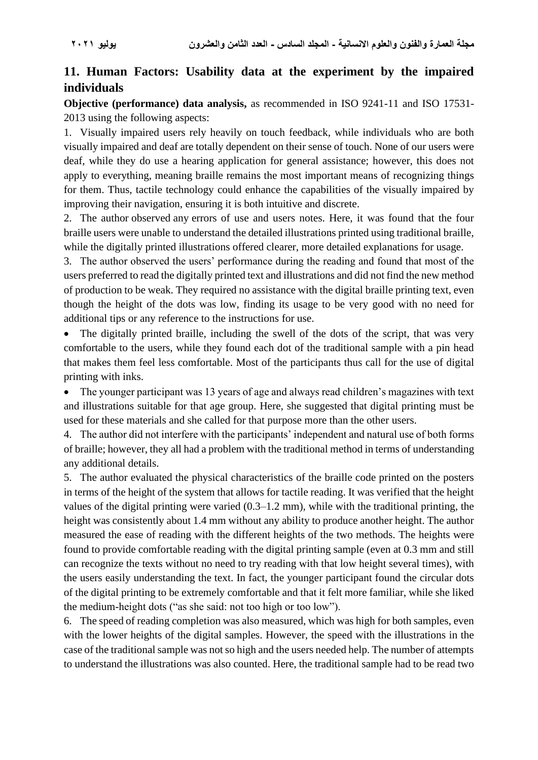## **11. Human Factors: Usability data at the experiment by the impaired individuals**

**Objective (performance) data analysis,** as recommended in ISO 9241-11 and ISO 17531- 2013 using the following aspects:

1. Visually impaired users rely heavily on touch feedback, while individuals who are both visually impaired and deaf are totally dependent on their sense of touch. None of our users were deaf, while they do use a hearing application for general assistance; however, this does not apply to everything, meaning braille remains the most important means of recognizing things for them. Thus, tactile technology could enhance the capabilities of the visually impaired by improving their navigation, ensuring it is both intuitive and discrete.

2. The author observed any errors of use and users notes. Here, it was found that the four braille users were unable to understand the detailed illustrations printed using traditional braille, while the digitally printed illustrations offered clearer, more detailed explanations for usage.

3. The author observed the users' performance during the reading and found that most of the users preferred to read the digitally printed text and illustrations and did not find the new method of production to be weak. They required no assistance with the digital braille printing text, even though the height of the dots was low, finding its usage to be very good with no need for additional tips or any reference to the instructions for use.

• The digitally printed braille, including the swell of the dots of the script, that was very comfortable to the users, while they found each dot of the traditional sample with a pin head that makes them feel less comfortable. Most of the participants thus call for the use of digital printing with inks.

• The younger participant was 13 years of age and always read children's magazines with text and illustrations suitable for that age group. Here, she suggested that digital printing must be used for these materials and she called for that purpose more than the other users.

4. The author did not interfere with the participants' independent and natural use of both forms of braille; however, they all had a problem with the traditional method in terms of understanding any additional details.

5. The author evaluated the physical characteristics of the braille code printed on the posters in terms of the height of the system that allows for tactile reading. It was verified that the height values of the digital printing were varied (0.3–1.2 mm), while with the traditional printing, the height was consistently about 1.4 mm without any ability to produce another height. The author measured the ease of reading with the different heights of the two methods. The heights were found to provide comfortable reading with the digital printing sample (even at 0.3 mm and still can recognize the texts without no need to try reading with that low height several times), with the users easily understanding the text. In fact, the younger participant found the circular dots of the digital printing to be extremely comfortable and that it felt more familiar, while she liked the medium-height dots ("as she said: not too high or too low").

6. The speed of reading completion was also measured, which was high for both samples, even with the lower heights of the digital samples. However, the speed with the illustrations in the case of the traditional sample was not so high and the users needed help. The number of attempts to understand the illustrations was also counted. Here, the traditional sample had to be read two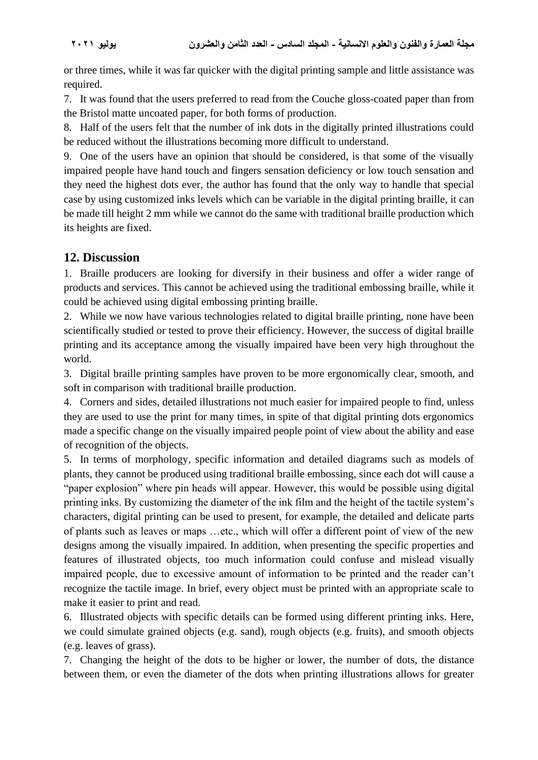or three times, while it was far quicker with the digital printing sample and little assistance was required.

7. It was found that the users preferred to read from the Couche gloss-coated paper than from the Bristol matte uncoated paper, for both forms of production.

8. Half of the users felt that the number of ink dots in the digitally printed illustrations could be reduced without the illustrations becoming more difficult to understand.

9. One of the users have an opinion that should be considered, is that some of the visually impaired people have hand touch and fingers sensation deficiency or low touch sensation and they need the highest dots ever, the author has found that the only way to handle that special case by using customized inks levels which can be variable in the digital printing braille, it can be made till height 2 mm while we cannot do the same with traditional braille production which its heights are fixed.

## **12. Discussion**

1. Braille producers are looking for diversify in their business and offer a wider range of products and services. This cannot be achieved using the traditional embossing braille, while it could be achieved using digital embossing printing braille.

2. While we now have various technologies related to digital braille printing, none have been scientifically studied or tested to prove their efficiency. However, the success of digital braille printing and its acceptance among the visually impaired have been very high throughout the world.

3. Digital braille printing samples have proven to be more ergonomically clear, smooth, and soft in comparison with traditional braille production.

4. Corners and sides, detailed illustrations not much easier for impaired people to find, unless they are used to use the print for many times, in spite of that digital printing dots ergonomics made a specific change on the visually impaired people point of view about the ability and ease of recognition of the objects.

5. In terms of morphology, specific information and detailed diagrams such as models of plants, they cannot be produced using traditional braille embossing, since each dot will cause a "paper explosion" where pin heads will appear. However, this would be possible using digital printing inks. By customizing the diameter of the ink film and the height of the tactile system's characters, digital printing can be used to present, for example, the detailed and delicate parts of plants such as leaves or maps …etc., which will offer a different point of view of the new designs among the visually impaired. In addition, when presenting the specific properties and features of illustrated objects, too much information could confuse and mislead visually impaired people, due to excessive amount of information to be printed and the reader can't recognize the tactile image. In brief, every object must be printed with an appropriate scale to make it easier to print and read.

6. Illustrated objects with specific details can be formed using different printing inks. Here, we could simulate grained objects (e.g. sand), rough objects (e.g. fruits), and smooth objects (e.g. leaves of grass).

7. Changing the height of the dots to be higher or lower, the number of dots, the distance between them, or even the diameter of the dots when printing illustrations allows for greater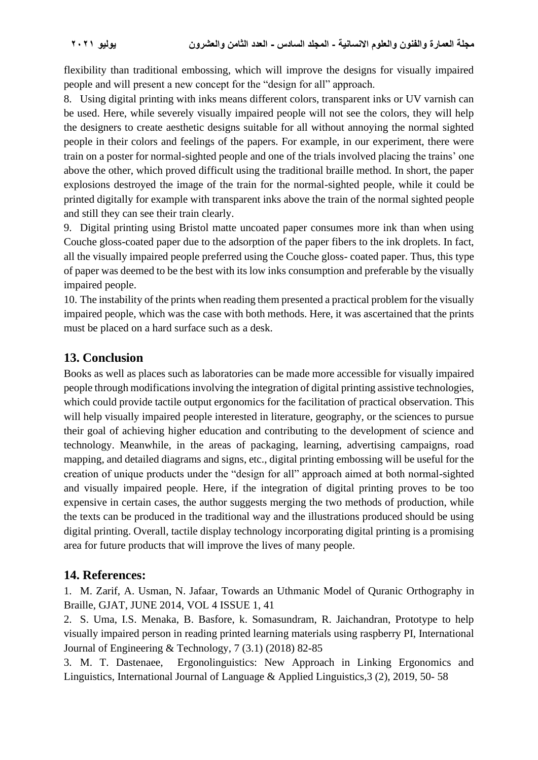flexibility than traditional embossing, which will improve the designs for visually impaired people and will present a new concept for the "design for all" approach.

8. Using digital printing with inks means different colors, transparent inks or UV varnish can be used. Here, while severely visually impaired people will not see the colors, they will help the designers to create aesthetic designs suitable for all without annoying the normal sighted people in their colors and feelings of the papers. For example, in our experiment, there were train on a poster for normal-sighted people and one of the trials involved placing the trains' one above the other, which proved difficult using the traditional braille method. In short, the paper explosions destroyed the image of the train for the normal-sighted people, while it could be printed digitally for example with transparent inks above the train of the normal sighted people and still they can see their train clearly.

9. Digital printing using Bristol matte uncoated paper consumes more ink than when using Couche gloss-coated paper due to the adsorption of the paper fibers to the ink droplets. In fact, all the visually impaired people preferred using the Couche gloss- coated paper. Thus, this type of paper was deemed to be the best with its low inks consumption and preferable by the visually impaired people.

10. The instability of the prints when reading them presented a practical problem for the visually impaired people, which was the case with both methods. Here, it was ascertained that the prints must be placed on a hard surface such as a desk.

## **13. Conclusion**

Books as well as places such as laboratories can be made more accessible for visually impaired people through modifications involving the integration of digital printing assistive technologies, which could provide tactile output ergonomics for the facilitation of practical observation. This will help visually impaired people interested in literature, geography, or the sciences to pursue their goal of achieving higher education and contributing to the development of science and technology. Meanwhile, in the areas of packaging, learning, advertising campaigns, road mapping, and detailed diagrams and signs, etc., digital printing embossing will be useful for the creation of unique products under the "design for all" approach aimed at both normal-sighted and visually impaired people. Here, if the integration of digital printing proves to be too expensive in certain cases, the author suggests merging the two methods of production, while the texts can be produced in the traditional way and the illustrations produced should be using digital printing. Overall, tactile display technology incorporating digital printing is a promising area for future products that will improve the lives of many people.

## **14. References:**

1. M. Zarif, A. Usman, N. Jafaar, Towards an Uthmanic Model of Quranic Orthography in Braille, GJAT, JUNE 2014, VOL 4 ISSUE 1, 41

2. S. Uma, I.S. Menaka, B. Basfore, k. Somasundram, R. Jaichandran, Prototype to help visually impaired person in reading printed learning materials using raspberry PI, International Journal of Engineering & Technology, 7 (3.1) (2018) 82-85

3. M. T. Dastenaee, Ergonolinguistics: New Approach in Linking Ergonomics and Linguistics, International Journal of Language & Applied Linguistics,3 (2), 2019, 50- 58